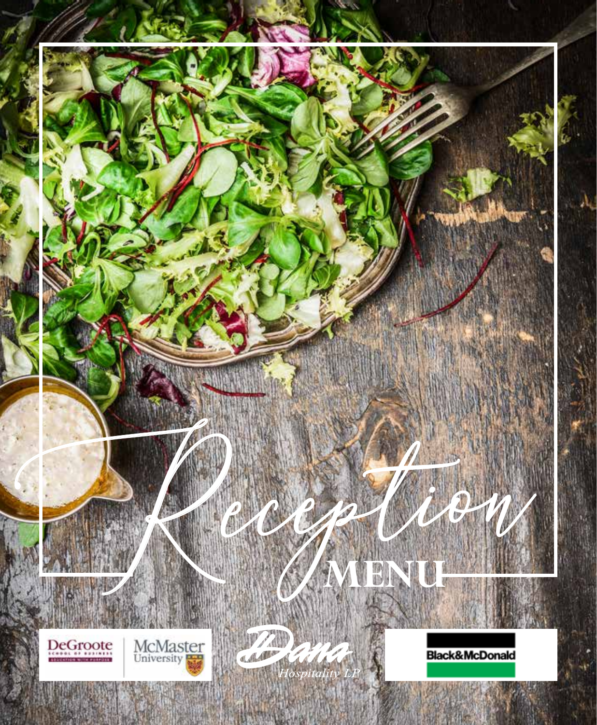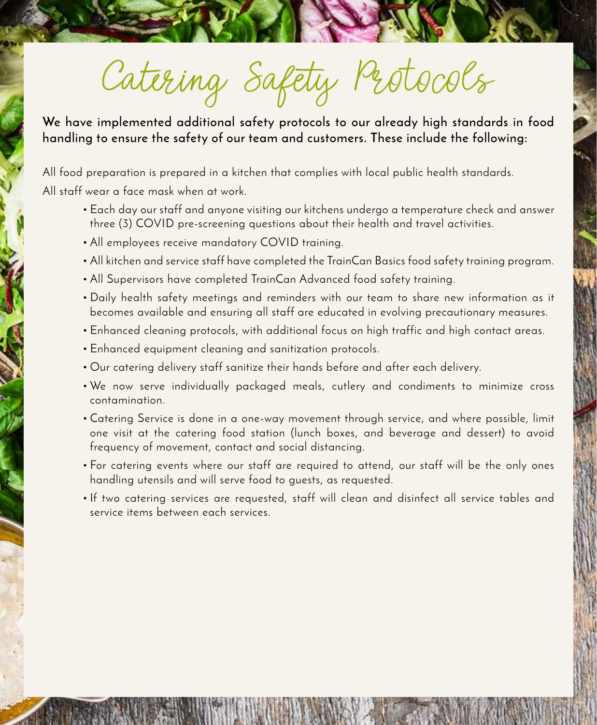Catering Safety Protocols

**We have implemented additional safety protocols to our already high standards in food handling to ensure the safety of our team and customers. These include the following:**

All food preparation is prepared in a kitchen that complies with local public health standards. All staff wear a face mask when at work.

- Each day our staff and anyone visiting our kitchens undergo a temperature check and answer three (3) COVID pre-screening questions about their health and travel activities.
- All employees receive mandatory COVID training.
- All kitchen and service staff have completed the TrainCan Basics food safety training program.
- All Supervisors have completed TrainCan Advanced food safety training.
- Daily health safety meetings and reminders with our team to share new information as it becomes available and ensuring all staff are educated in evolving precautionary measures.
- Enhanced cleaning protocols, with additional focus on high traffic and high contact areas.
- Enhanced equipment cleaning and sanitization protocols.
- Our catering delivery staff sanitize their hands before and after each delivery.
- We now serve individually packaged meals, cutlery and condiments to minimize cross contamination.
- Catering Service is done in a one-way movement through service, and where possible, limit one visit at the catering food station (lunch boxes, and beverage and dessert) to avoid frequency of movement, contact and social distancing.
- For catering events where our staff are required to attend, our staff will be the only ones handling utensils and will serve food to guests, as requested.
- If two catering services are requested, staff will clean and disinfect all service tables and service items between each services.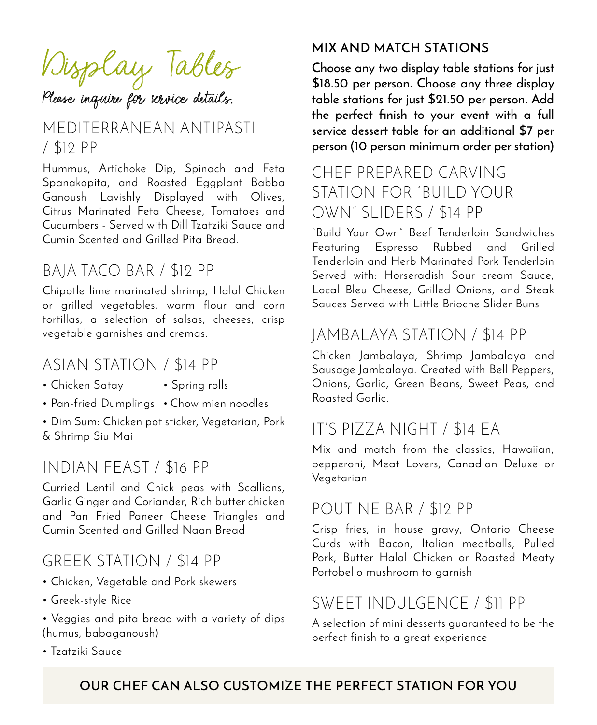Display Tables Please inquire for service details.

### MEDITERRANEAN ANTIPASTI / \$12 PP

Hummus, Artichoke Dip, Spinach and Feta Spanakopita, and Roasted Eggplant Babba Ganoush Lavishly Displayed with Olives, Citrus Marinated Feta Cheese, Tomatoes and Cucumbers - Served with Dill Tzatziki Sauce and Cumin Scented and Grilled Pita Bread.

### BAJA TACO BAR / \$12 PP

Chipotle lime marinated shrimp, Halal Chicken or grilled vegetables, warm flour and corn tortillas, a selection of salsas, cheeses, crisp vegetable garnishes and cremas.

### ASIAN STATION / \$14 PP

- Chicken Satay Spring rolls
- Pan-fried Dumplings Chow mien noodles

• Dim Sum: Chicken pot sticker, Vegetarian, Pork & Shrimp Siu Mai

### INDIAN FEAST / \$16 PP

Curried Lentil and Chick peas with Scallions, Garlic Ginger and Coriander, Rich butter chicken and Pan Fried Paneer Cheese Triangles and Cumin Scented and Grilled Naan Bread

### GREEK STATION / \$14 PP

- Chicken, Vegetable and Pork skewers
- Greek-style Rice
- Veggies and pita bread with a variety of dips (humus, babaganoush)
- Tzatziki Sauce

### **MIX AND MATCH STATIONS**

**Choose any two display table stations for just \$18.50 per person. Choose any three display table stations for just \$21.50 per person. Add the perfect finish to your event with a full service dessert table for an additional \$7 per person (10 person minimum order per station)**

### CHEF PREPARED CARVING STATION FOR "BUILD YOUR OWN" SLIDERS / \$14 PP

"Build Your Own" Beef Tenderloin Sandwiches Featuring Espresso Rubbed and Grilled Tenderloin and Herb Marinated Pork Tenderloin Served with: Horseradish Sour cream Sauce, Local Bleu Cheese, Grilled Onions, and Steak Sauces Served with Little Brioche Slider Buns

# JAMBALAYA STATION / \$14 PP

Chicken Jambalaya, Shrimp Jambalaya and Sausage Jambalaya. Created with Bell Peppers, Onions, Garlic, Green Beans, Sweet Peas, and Roasted Garlic.

# IT'S PIZZA NIGHT / \$14 EA

Mix and match from the classics, Hawaiian, pepperoni, Meat Lovers, Canadian Deluxe or Vegetarian

### POUTINE BAR / \$12 PP

Crisp fries, in house gravy, Ontario Cheese Curds with Bacon, Italian meatballs, Pulled Pork, Butter Halal Chicken or Roasted Meaty Portobello mushroom to garnish

# SWEET INDULGENCE / \$11 PP

A selection of mini desserts guaranteed to be the perfect finish to a great experience

### **OUR CHEF CAN ALSO CUSTOMIZE THE PERFECT STATION FOR YOU**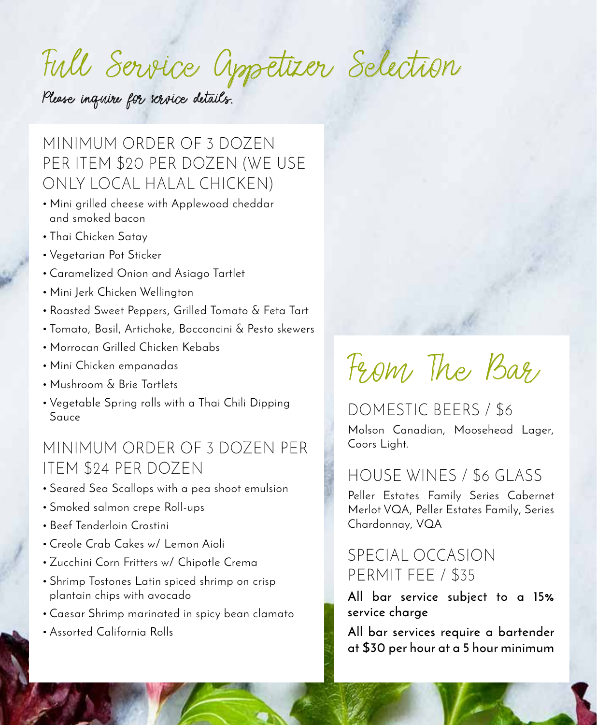# Full Service Appetizer Selection

Please inquire for service details.

MINIMUM ORDER OF 3 DOZEN PER ITEM \$20 PER DOZEN (WE USE ONLY LOCAL HALAL CHICKEN)

- Mini grilled cheese with Applewood cheddar and smoked bacon
- Thai Chicken Satay
- Vegetarian Pot Sticker
- Caramelized Onion and Asiago Tartlet
- Mini Jerk Chicken Wellington
- Roasted Sweet Peppers, Grilled Tomato & Feta Tart
- Tomato, Basil, Artichoke, Bocconcini & Pesto skewers
- Morrocan Grilled Chicken Kebabs
- Mini Chicken empanadas
- Mushroom & Brie Tartlets
- Vegetable Spring rolls with a Thai Chili Dipping Sauce

## MINIMUM ORDER OF 3 DOZEN PER ITEM \$24 PER DOZEN

- Seared Sea Scallops with a pea shoot emulsion
- Smoked salmon crepe Roll-ups
- Beef Tenderloin Crostini
- Creole Crab Cakes w/ Lemon Aioli
- Zucchini Corn Fritters w/ Chipotle Crema
- Shrimp Tostones Latin spiced shrimp on crisp plantain chips with avocado
- Caesar Shrimp marinated in spicy bean clamato
- Assorted California Rolls

# From The Bar

DOMESTIC BEERS / \$6 Molson Canadian, Moosehead Lager, Coors Light.

# HOUSE WINES / \$6 GLASS

Peller Estates Family Series Cabernet Merlot VQA, Peller Estates Family, Series Chardonnay, VQA

# SPECIAL OCCASION PERMIT FEE / \$35

**All bar service subject to a 15% service charge**

**All bar services require a bartender at \$30 per hour at a 5 hour minimum**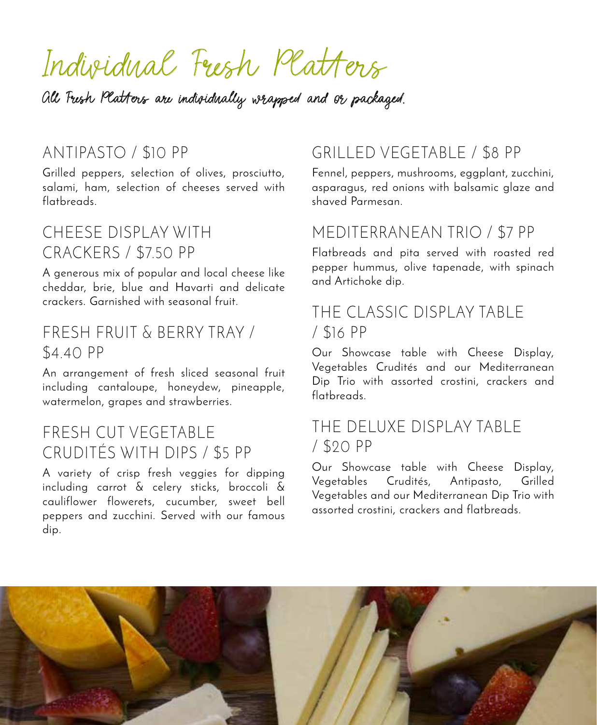# Individual Fresh Platters

All Fresh Platters are individually wrapped and or packaged.

### ANTIPASTO / \$10 PP

Grilled peppers, selection of olives, prosciutto, salami, ham, selection of cheeses served with flatbreads.

### CHEESE DISPLAY WITH CRACKERS / \$7.50 PP

A generous mix of popular and local cheese like cheddar, brie, blue and Havarti and delicate crackers. Garnished with seasonal fruit.

### FRESH FRUIT & BERRY TRAY / \$4.40 PP

An arrangement of fresh sliced seasonal fruit including cantaloupe, honeydew, pineapple, watermelon, grapes and strawberries.

### FRESH CUT VEGETABLE CRUDITÉS WITH DIPS / \$5 PP

A variety of crisp fresh veggies for dipping including carrot & celery sticks, broccoli & cauliflower flowerets, cucumber, sweet bell peppers and zucchini. Served with our famous dip.

# GRILLED VEGETABLE / \$8 PP

Fennel, peppers, mushrooms, eggplant, zucchini, asparagus, red onions with balsamic glaze and shaved Parmesan.

### MEDITERRANEAN TRIO / \$7 PP

Flatbreads and pita served with roasted red pepper hummus, olive tapenade, with spinach and Artichoke dip.

### THE CLASSIC DISPLAY TABLE / \$16 PP

Our Showcase table with Cheese Display, Vegetables Crudités and our Mediterranean Dip Trio with assorted crostini, crackers and flatbreads.

### THE DELUXE DISPLAY TABLE / \$20 PP

Our Showcase table with Cheese Display, Vegetables Crudités, Antipasto, Grilled Vegetables and our Mediterranean Dip Trio with assorted crostini, crackers and flatbreads.